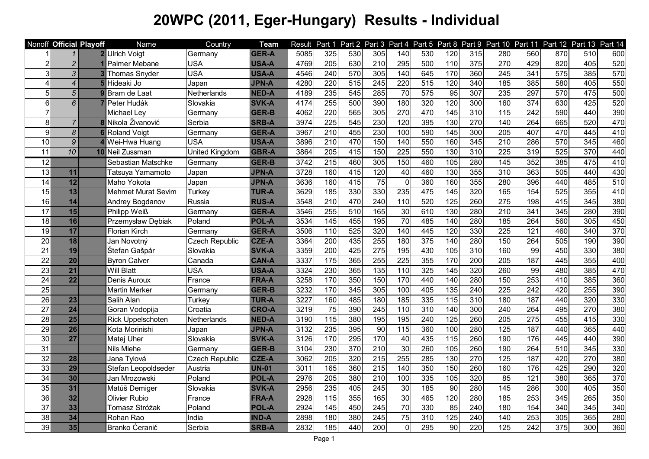|                 |                 | Nonoff Official Playoff | Name                      | Country               | <b>Team</b>  | Result | Part 1           |                  |                  |                   |                  |                   |     |                   |                  |                  | Part 2 Part 3 Part 4 Part 5 Part 8 Part 9 Part 10 Part 11 Part 12 Part 13 Part 14 |     |
|-----------------|-----------------|-------------------------|---------------------------|-----------------------|--------------|--------|------------------|------------------|------------------|-------------------|------------------|-------------------|-----|-------------------|------------------|------------------|-----------------------------------------------------------------------------------|-----|
|                 | $\mathbf{1}$    |                         | 2 Ulrich Voigt            | Germany               | <b>GER-A</b> | 5085   | 325              | 530              | 305              | 140               | 530              | 120               | 315 | 280               | 560              | 870              | 510                                                                               | 600 |
| $\overline{2}$  | $\overline{c}$  |                         | Palmer Mebane             | <b>USA</b>            | USA-A        | 4769   | 205              | 630              | 210              | 295               | 500              | 110               | 375 | 270               | 429              | 820              | 405                                                                               | 520 |
| 3               | $\mathfrak{Z}$  |                         | <b>Thomas Snyder</b>      | <b>USA</b>            | <b>USA-A</b> | 4546   | 240              | 570              | 305              | 140               | 645              | 170               | 360 | 245               | 341              | 575              | 385                                                                               | 570 |
| 4               | $\overline{4}$  | 5                       | Hideaki Jo                | Japan                 | <b>JPN-A</b> | 4280   | 220              | $\overline{515}$ | 245              | 220               | $\overline{515}$ | 120               | 340 | 185               | 385              | 580              | 405                                                                               | 550 |
| 5               | $\overline{5}$  |                         | Bram de Laat              | Netherlands           | <b>NED-A</b> | 4189   | 235              | 545              | 285              | 70                | 575              | 95                | 307 | 235               | 297              | 570              | 475                                                                               | 500 |
| $6\phantom{1}$  | $\overline{6}$  |                         | Peter Hudák               | Slovakia              | <b>SVK-A</b> | 4174   | 255              | 500              | 390              | 180               | 320              | 120               | 300 | 160               | 374              | 630              | 425                                                                               | 520 |
| $\overline{7}$  |                 |                         | Michael Ley               | Germany               | GER-B        | 4062   | 220              | 565              | 305              | 270               | 470              | $\frac{145}{145}$ | 310 | $\frac{115}{115}$ | 242              | 590              | 440                                                                               | 390 |
| $\overline{8}$  | $\overline{7}$  |                         | 8 Nikola Živanović        | Serbia                | <b>SRB-A</b> | 3974   | 225              | 545              | 230              | 120               | 395              | 130               | 270 | 140               | 264              | 665              | 520                                                                               | 470 |
| 9 <sub>l</sub>  | $\overline{8}$  | 6                       | <b>Roland Voigt</b>       | Germany               | <b>GER-A</b> | 3967   | 210              | 455              | 230              | 100               | 590              | 145               | 300 | 205               | 407              | 470              | 445                                                                               | 410 |
| 10              | 9               |                         | Wei-Hwa Huang             | <b>USA</b>            | <b>USA-A</b> | 3896   | 210              | 470              | 150              | 140               | 550              | 160               | 345 | 210               | 286              | 570              | 345                                                                               | 460 |
| 11              | 10              |                         | 10 Neil Zussman           | United Kingdom        | <b>GBR-A</b> | 3864   | 205              | 415              | 150              | 225               | 550              | 130               | 310 | 225               | 319              | 525              | 370                                                                               | 440 |
| $\overline{12}$ |                 |                         | Sebastian Matschke        | Germany               | GER-B        | 3742   | $\overline{215}$ | 460              | 305              | 150               | 460              | 105               | 280 | $\frac{145}{145}$ | 352              | 385              | 475                                                                               | 410 |
| 13              | 11              |                         | Tatsuya Yamamoto          | Japan                 | <b>JPN-A</b> | 3728   | 160              | 415              | 120              | 40                | 460              | 130               | 355 | 310               | 363              | 505              | 440                                                                               | 430 |
| 14              | 12              |                         | Maho Yokota               | Japan                 | <b>JPN-A</b> | 3636   | 160              | 415              | $\overline{75}$  | $\mathbf 0$       | 360              | 160               | 355 | 280               | 396              | 440              | 485                                                                               | 510 |
| $\overline{15}$ | 13              |                         | <b>Mehmet Murat Sevim</b> | Turkey                | <b>TUR-A</b> | 3629   | 185              | 330              | 330              | 235               | 475              | $\frac{145}{145}$ | 320 | 165               | 154              | 525              | 355                                                                               | 410 |
| 16              | 14              |                         | Andrey Bogdanov           | Russia                | <b>RUS-A</b> | 3548   | $\overline{210}$ | 470              | 240              | 110               | 520              | $\overline{125}$  | 260 | 275               | 198              | $\overline{415}$ | 345                                                                               | 380 |
| $\overline{17}$ | 15              |                         | Philipp Weiß              | Germany               | GER-A        | 3546   | 255              | $\overline{510}$ | 165              | $\overline{30}$   | 610              | 130               | 280 | 210               | 341              | 345              | 280                                                                               | 390 |
| 18              | 16              |                         | Przemysław Dębiak         | Poland                | <b>POL-A</b> | 3534   | 145              | 455              | 195              | $\overline{70}$   | 485              | 140               | 280 | 185               | 264              | 560              | 305                                                                               | 450 |
| 19              | 17              |                         | <b>Florian Kirch</b>      | Germany               | GER-A        | 3506   | 110              | 525              | 320              | 140               | 445              | 120               | 330 | 225               | 121              | 460              | 340                                                                               | 370 |
| 20              | 18              |                         | Jan Novotný               | <b>Czech Republic</b> | <b>CZE-A</b> | 3364   | 200              | 435              | 255              | 180               | 375              | $\frac{140}{ }$   | 280 | 150               | 264              | 505              | 190                                                                               | 390 |
| 21              | 19              |                         | Štefan Gašpár             | Slovakia              | <b>SVK-A</b> | 3359   | 200              | 425              | 275              | 195               | 430              | 105               | 310 | 160               | 99               | 450              | 330                                                                               | 380 |
| 22              | $\overline{20}$ |                         | <b>Byron Calver</b>       | Canada                | <b>CAN-A</b> | 3337   | $\frac{1}{175}$  | 365              | 255              | 225               | 355              | 170               | 200 | 205               | 187              | 445              | 355                                                                               | 400 |
| 23              | $\overline{21}$ |                         | Will Blatt                | <b>USA</b>            | USA-A        | 3324   | 230              | 365              | 135              | 110               | 325              | $\frac{145}{145}$ | 320 | 260               | 99               | 480              | 385                                                                               | 470 |
| 24              | $\overline{22}$ |                         | Denis Auroux              | France                | <b>FRA-A</b> | 3258   | 170              | 350              | 150              | 170               | 440              | $\frac{140}{ }$   | 280 | 150               | 253              | 410              | 385                                                                               | 360 |
| 25              |                 |                         | Martin Merker             | Germany               | GER-B        | 3232   | 170              | 345              | 305              | 100               | 405              | 135               | 240 | 225               | 242              | 420              | 255                                                                               | 390 |
| 26              | 23              |                         | Salih Alan                | Turkey                | <b>TUR-A</b> | 3227   | 160              | 485              | 180              | 185               | 335              | 115               | 310 | 180               | 187              | 440              | 320                                                                               | 330 |
| 27              | 24              |                         | Goran Vodopija            | Croatia               | <b>CRO-A</b> | 3219   | 75               | 390              | 245              | 110               | 310              | 140               | 300 | 240               | 264              | 495              | 270                                                                               | 380 |
| 28              | 25              |                         | <b>Rick Uppelschoten</b>  | Netherlands           | <b>NED-A</b> | 3190   | 115              | 380              | 195              | 195               | 240              | 125               | 260 | 205               | $\overline{275}$ | 455              | 415                                                                               | 330 |
| 29              | 26              |                         | Kota Morinishi            | Japan                 | <b>JPN-A</b> | 3132   | 235              | 395              | $\overline{90}$  | $\frac{115}{115}$ | 360              | 100               | 280 | 125               | 187              | 440              | 365                                                                               | 440 |
| 30              | 27              |                         | Matej Uher                | Slovakia              | <b>SVK-A</b> | 3126   | 170              | 295              | 170              | 40                | 435              | 115               | 260 | 190               | 176              | 445              | 440                                                                               | 390 |
| 31              |                 |                         | Nils Miehe                | Germany               | GER-B        | 3104   | 230              | 370              | 210              | 30                | 260              | 105               | 260 | 190               | 264              | 510              | 345                                                                               | 330 |
| 32              | 28              |                         | Jana Tylová               | <b>Czech Republic</b> | <b>CZE-A</b> | 3062   | 205              | 320              | $\overline{215}$ | 255               | 285              | 130               | 270 | 125               | 187              | 420              | 270                                                                               | 380 |
| 33              | $\overline{29}$ |                         | Stefan Leopoldseder       | Austria               | <b>UN-01</b> | 3011   | 165              | 360              | $\overline{215}$ | 140               | 350              | 150               | 260 | 160               | 176              | 425              | 290                                                                               | 320 |
| 34              | 30              |                         | Jan Mrozowski             | Poland                | <b>POL-A</b> | 2976   | 205              | 380              | 210              | 100               | 335              | 105               | 320 | 85                | 121              | 380              | 365                                                                               | 370 |
| $\overline{35}$ | 31              |                         | Matúš Demiger             | Slovakia              | <b>SVK-A</b> | 2956   | 235              | 405              | 245              | 30                | 185              | 90                | 280 | 145               | 286              | 300              | 405                                                                               | 350 |
| 36              | 32              |                         | <b>Olivier Rubio</b>      | France                | <b>FRA-A</b> | 2928   | 115              | 355              | 165              | 30                | 465              | 120               | 280 | 185               | 253              | 345              | 265                                                                               | 350 |
| 37              | 33              |                         | Tomasz Stróżak            | Poland                | <b>POL-A</b> | 2924   | 145              | 450              | 245              | 70                | 330              | 85                | 240 | 180               | 154              | 340              | 345                                                                               | 340 |
| 38              | 34              |                         | Rohan Rao                 | India                 | <b>IND-A</b> | 2898   | 180              | 380              | 245              | $\overline{75}$   | 310              | 125               | 240 | 140               | 253              | 305              | 365                                                                               | 280 |
| 39              | 35              |                         | Branko Ćeranić            | Serbia                | <b>SRB-A</b> | 2832   | 185              | 440              | 200              | $\overline{0}$    | 295              | 90                | 220 | 125               | 242              | 375              | 300                                                                               | 360 |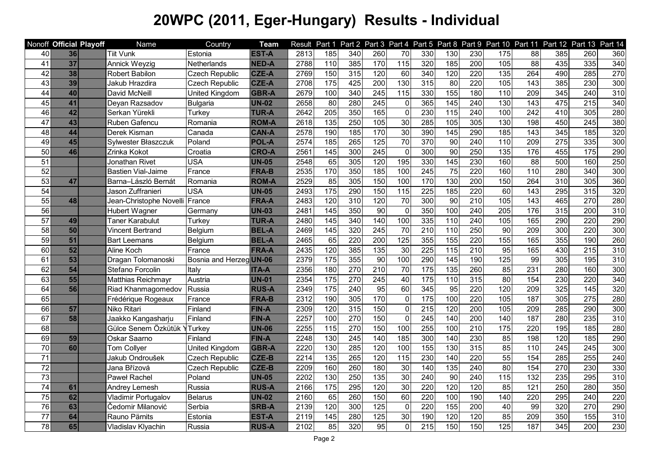|                 | Nonoff Official Playoff | Name                      | Country                 | <b>Team</b>  | Result            | Part 1            |                  |                  |                 |                  |                 |                  |                   |                  |                  | Part 2 Part 3 Part 4 Part 5 Part 8 Part 9 Part 10 Part 11 Part 12 Part 13 Part 14 |                  |
|-----------------|-------------------------|---------------------------|-------------------------|--------------|-------------------|-------------------|------------------|------------------|-----------------|------------------|-----------------|------------------|-------------------|------------------|------------------|-----------------------------------------------------------------------------------|------------------|
| 40              | 36                      | <b>Tiit Vunk</b>          | Estonia                 | <b>EST-A</b> | 2813              | 185               | 340              | 260              | 70              | 330              | 130             | 230              | 175               | 88               | 385              | 260                                                                               | 360              |
| $\overline{41}$ | $\overline{37}$         | Annick Weyzig             | Netherlands             | <b>NED-A</b> | 2788              | $\frac{110}{110}$ | 385              | 170              | 115             | 320              | 185             | $\overline{200}$ | 105               | $\overline{88}$  | 435              | $\frac{1}{335}$                                                                   | 340              |
| 42              | 38                      | Robert Babilon            | <b>Czech Republic</b>   | <b>CZE-A</b> | 2769              | 150               | 315              | 120              | 60              | 340              | 120             | 220              | $\overline{135}$  | 264              | 490              | 285                                                                               | 270              |
| 43              | 39                      | Jakub Hrazdira            | <b>Czech Republic</b>   | <b>CZE-A</b> | 2708              | 175               | 425              | 200              | 130             | 315              | 80              | 220              | 105               | 143              | 385              | 230                                                                               | 300              |
| 44              | 40                      | David McNeill             | United Kingdom          | <b>GBR-A</b> | 2679              | 100               | 340              | 245              | 115             | 330              | 155             | 180              | 110               | 209              | 345              | 240                                                                               | 310              |
| 45              | 41                      | Deyan Razsadov            | <b>Bulgaria</b>         | <b>UN-02</b> | 2658              | 80                | 280              | 245              | $\mathbf 0$     | 365              | 145             | 240              | 130               | 143              | 475              | 215                                                                               | 340              |
| 46              | 42                      | Serkan Yürekli            | Turkey                  | <b>TUR-A</b> | 2642              | 205               | 350              | 165              | $\mathbf 0$     | 230              | 115             | 240              | 100               | 242              | 410              | 305                                                                               | 280              |
| $\overline{47}$ | 43                      | Ruben Gafencu             | Romania                 | <b>ROM-A</b> | 2618              | 135               | 250              | 105              | 30              | 285              | 105             | 305              | 130               | 198              | 450              | $\overline{245}$                                                                  | 380              |
| 48              | 44                      | Derek Kisman              | Canada                  | <b>CAN-A</b> | 2578              | 190               | 185              | 170              | 30              | 390              | 145             | 290              | 185               | $\overline{143}$ | $\overline{345}$ | 185                                                                               | 320              |
| 49              | 45                      | Sylwester Błaszczuk       | Poland                  | <b>POL-A</b> | 2574              | 185               | 265              | 125              | $\overline{70}$ | 370              | 90              | 240              | 110               | 209              | 275              | 335                                                                               | 300              |
| 50              | 46                      | Zrinka Kokot              | Croatia                 | <b>CRO-A</b> | 2561              | 145               | 300              | $\overline{245}$ | $\mathbf 0$     | 300              | $\overline{90}$ | 250              | $\overline{135}$  | 176              | 455              | 175                                                                               | 290              |
| 51              |                         | Jonathan Rivet            | <b>USA</b>              | <b>UN-05</b> | 2548              | 65                | 305              | 120              | 195             | 330              | 145             | 230              | 160               | $\overline{88}$  | 500              | 160                                                                               | 250              |
| 52              |                         | <b>Bastien Vial-Jaime</b> | France                  | <b>FRA-B</b> | 2535              | 170               | 350              | 185              | 100             | 245              | $\overline{75}$ | 220              | 160               | 110              | 280              | 340                                                                               | 300              |
| 53              | 47                      | Barna-László Bernát       | Romania                 | <b>ROM-A</b> | 2529              | 85                | 305              | 150              | 100             | 170              | 130             | 200              | 150               | 264              | $\overline{310}$ | 305                                                                               | 360              |
| $\overline{54}$ |                         | Jason Zuffranieri         | <b>USA</b>              | <b>UN-05</b> | 2493              | 175               | 290              | 150              | 115             | 225              | 185             | 220              | $\overline{60}$   | $\overline{143}$ | 295              | $\overline{315}$                                                                  | 320              |
| 55              | 48                      | Jean-Christophe Novelli   | France                  | <b>FRA-A</b> | 2483              | 120               | 310              | 120              | 70              | 300              | 90              | 210              | 105               | 143              | 465              | 270                                                                               | 280              |
| 56              |                         | Hubert Wagner             | Germany                 | <b>UN-03</b> | 2481              | 145               | 350              | 90               | $\mathbf 0$     | 350              | 100             | 240              | 205               | 176              | 315              | 200                                                                               | 310              |
| 57              | 49                      | Taner Karabulut           | Turkey                  | <b>TUR-A</b> | 2480              | 145               | 340              | 140              | 100             | 335              | 110             | 240              | 105               | 165              | 290              | 220                                                                               | 290              |
| 58              | 50                      | Vincent Bertrand          | Belgium                 | <b>BEL-A</b> | 2469              | 145               | 320              | 245              | $\overline{70}$ | 210              | 110             | 250              | 90                | 209              | 300              | 220                                                                               | 300              |
| 59              | 51                      | <b>Bart Leemans</b>       | Belgium                 | <b>BEL-A</b> | 2465              | 65                | 220              | 200              | 125             | 355              | 155             | 220              | 155               | 165              | 355              | 190                                                                               | 260              |
| 60              | 52                      | Aline Koch                | France                  | <b>FRA-A</b> | 2435              | 120               | 385              | 135              | 30              | 225              | 115             | $\overline{210}$ | 95                | 165              | 430              | 215                                                                               | 310              |
| 61              | 53                      | Dragan Tolomanoski        | Bosnia and Herzeg UN-06 |              | 2379              | $\frac{175}{2}$   | 355              | 90               | 100             | 290              | 145             | 190              | 125               | 99               | 305              | 195                                                                               | 310              |
| 62              | 54                      | Stefano Forcolin          | Italy                   | <b>ITA-A</b> | 2356              | 180               | 270              | $\overline{210}$ | $\overline{70}$ | $\frac{1}{175}$  | 135             | 260              | 85                | 231              | 280              | 160                                                                               | 300              |
| 63              | 55                      | Matthias Reichmayr        | Austria                 | <b>UN-01</b> | 2354              | 175               | 270              | $\overline{245}$ | 40              | 175              | 110             | 315              | 80                | 154              | 230              | 220                                                                               | 340              |
| 64              | 56                      | Riad Khanmagomedov        | Russia                  | <b>RUS-A</b> | 2349              | 175               | $\overline{240}$ | 95               | 60              | 345              | 95              | 220              | 120               | 209              | 325              | 145                                                                               | 320              |
| 65              |                         | Frédérique Rogeaux        | France                  | <b>FRA-B</b> | 2312              | 190               | 305              | 170              | $\mathbf 0$     | 175              | 100             | 220              | 105               | 187              | 305              | $\overline{275}$                                                                  | 280              |
| 66              | 57                      | Niko Ritari               | Finland                 | <b>FIN-A</b> | 2309              | 120               | 315              | 150              | $\mathbf 0$     | $\overline{215}$ | 120             | 200              | 105               | 209              | 285              | 290                                                                               | 300              |
| 67              | 58                      | Jaakko Kangasharju        | Finland                 | <b>FIN-A</b> | 2257              | 100               | 270              | 150              | $\mathbf 0$     | 245              | 140             | $\overline{200}$ | 140               | 187              | 280              | 235                                                                               | 310              |
| 68              |                         | Gülce Senem Özkütük Y     | Turkey                  | <b>UN-06</b> | 2255              | 115               | 270              | 150              | 100             | 255              | 100             | 210              | 175               | 220              | 195              | 185                                                                               | 280              |
| 69              | 59                      | Oskar Saarno              | Finland                 | <b>FIN-A</b> | 2248              | 130               | 245              | 140              | 185             | 300              | 140             | 230              | 85                | 198              | 120              | 185                                                                               | 290              |
| 70              | 60                      | <b>Tom Collyer</b>        | United Kingdom          | <b>GBR-A</b> | 2220              | 130               | 285              | 120              | 100             | 155              | 130             | 315              | 85                | 110              | 245              | 245                                                                               | 300              |
| 71              |                         | Jakub Ondroušek           | <b>Czech Republic</b>   | <b>CZE-B</b> | 2214              | $\overline{135}$  | 265              | 120              | 115             | 230              | 140             | 220              | 55                | 154              | 285              | 255                                                                               | 240              |
| 72              |                         | Jana Břízová              | <b>Czech Republic</b>   | <b>CZE-B</b> | 2209              | 160               | 260              | 180              | 30              | 140              | 135             | 240              | 80                | 154              | 270              | 230                                                                               | 330              |
| 73              |                         | Paweł Rachel              | Poland                  | <b>UN-05</b> | 2202              | 130               | 250              | $\overline{135}$ | 30              | 240              | $\overline{90}$ | 240              | $\frac{115}{115}$ | $\overline{132}$ | 235              | 295                                                                               | 310              |
| $\overline{74}$ | 61                      | Andrey Lemesh             | Russia                  | <b>RUS-A</b> | 2166              | 175               | 295              | 120              | 30              | 220              | 120             | 120              | 85                | 121              | 250              | 280                                                                               | 350              |
| $\overline{75}$ | 62                      | Vladimir Portugalov       | <b>Belarus</b>          | <b>UN-02</b> | $\overline{2160}$ | 65                | 260              | 150              | 60              | 220              | 100             | 190              | 140               | 220              | 295              | 240                                                                               | 220              |
| $\overline{76}$ | 63                      | Čedomir Milanović         | Serbia                  | <b>SRB-A</b> | 2139              | 120               | 300              | 125              | $\mathbf 0$     | 220              | 155             | 200              | $\overline{40}$   | 99               | 320              | 270                                                                               | 290              |
| $\overline{77}$ | 64                      | Rauno Pärnits             | Estonia                 | <b>EST-A</b> | 2119              | 145               | 280              | 125              | 30              | 190              | 120             | 120              | 85                | 209              | 350              | 155                                                                               | $\overline{310}$ |
| $\overline{3}$  | 65                      | Vladislav Klyachin        | Russia                  | <b>RUS-A</b> | 2102              | 85                | $\overline{320}$ | 95               | $\overline{0}$  | $\overline{215}$ | 150             | 150              | 125               | 187              | 345              | 200                                                                               | 230              |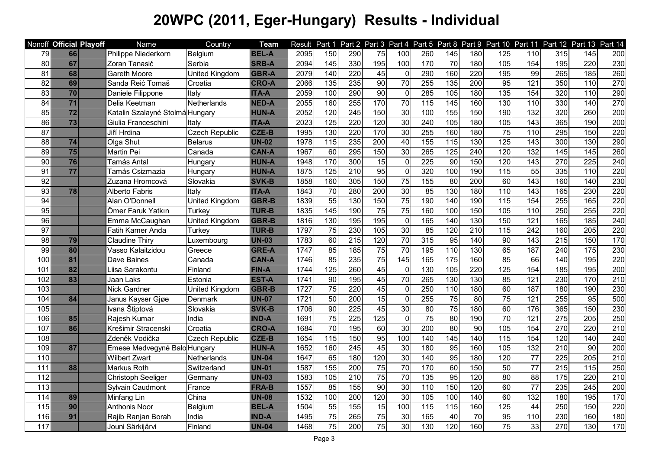|     | Nonoff Official Playoff | Name                            | Country               | <b>Team</b>  | Result | Part 1            |                  |                 |                 |     |                   |                  |                  |                  |                  | Part 2 Part 3 Part 4 Part 5 Part 8 Part 9 Part 10 Part 11 Part 12 Part 13 Part 14 |     |
|-----|-------------------------|---------------------------------|-----------------------|--------------|--------|-------------------|------------------|-----------------|-----------------|-----|-------------------|------------------|------------------|------------------|------------------|-----------------------------------------------------------------------------------|-----|
| 79  | 66                      | Philippe Niederkorn             | Belgium               | <b>BEL-A</b> | 2095   | 150               | 290              | 75              | 100             | 260 | 145               | 180              | $\frac{1}{25}$   | 110              | 315              | 145                                                                               | 200 |
| 80  | 67                      | Zoran Tanasić                   | Serbia                | <b>SRB-A</b> | 2094   | $\frac{145}{145}$ | 330              | 195             | 100             | 170 | $\overline{70}$   | 180              | 105              | 154              | 195              | 220                                                                               | 230 |
| 81  | 68                      | <b>Gareth Moore</b>             | United Kingdom        | <b>GBR-A</b> | 2079   | 140               | $\overline{220}$ | 45              | $\mathbf 0$     | 290 | 160               | 220              | 195              | 99               | 265              | 185                                                                               | 260 |
| 82  | 69                      | Sanda Reić Tomaš                | Croatia               | <b>CRO-A</b> | 2066   | 135               | 235              | 90              | $\overline{70}$ | 255 | 135               | 200              | 95               | 121              | 350              | 110                                                                               | 270 |
| 83  | 70                      | Daniele Filippone               | Italy                 | <b>ITA-A</b> | 2059   | 100               | 290              | 90              | $\mathbf 0$     | 285 | 105               | 180              | 135              | 154              | 320              | 110                                                                               | 290 |
| 84  | $\overline{71}$         | Delia Keetman                   | Netherlands           | <b>NED-A</b> | 2055   | 160               | 255              | 170             | $\overline{70}$ | 115 | 145               | 160              | 130              | 110              | 330              | 140                                                                               | 270 |
| 85  | $\overline{72}$         | Katalin Szalayné Stolmá Hungary |                       | <b>HUN-A</b> | 2052   | 120               | 245              | 150             | 30              | 100 | 155               | 150              | 190              | 132              | 320              | 260                                                                               | 200 |
| 86  | 73                      | Giulia Franceschini             | Italy                 | <b>ITA-A</b> | 2023   | 125               | 220              | 120             | 30              | 240 | 105               | 180              | 105              | 143              | 365              | 190                                                                               | 200 |
| 87  |                         | Jiří Hrdina                     | <b>Czech Republic</b> | <b>CZE-B</b> | 1995   | 130               | 220              | 170             | 30              | 255 | 160               | 180              | 75               | 110              | 295              | 150                                                                               | 220 |
| 88  | 74                      | Olga Shut                       | <b>Belarus</b>        | <b>UN-02</b> | 1978   | 115               | 235              | 200             | 40              | 155 | 115               | 130              | 125              | 143              | 300              | 130                                                                               | 290 |
| 89  | 75                      | Martin Pei                      | Canada                | <b>CAN-A</b> | 1967   | 60                | 295              | 150             | 30              | 265 | 125               | 240              | 120              | $\overline{132}$ | 145              | 145                                                                               | 260 |
| 90  | 76                      | Tamás Antal                     | Hungary               | <b>HUN-A</b> | 1948   | 170               | 300              | 15              | $\mathbf 0$     | 225 | 90                | 150              | 120              | 143              | 270              | 225                                                                               | 240 |
| 91  | $\overline{77}$         | Tamás Csizmazia                 | Hungary               | <b>HUN-A</b> | 1875   | 125               | $\overline{210}$ | 95              | $\mathbf 0$     | 320 | 100               | 190              | $\overline{115}$ | 55               | 335              | 110                                                                               | 220 |
| 92  |                         | Zuzana Hromcová                 | Slovakia              | <b>SVK-B</b> | 1858   | 160               | 305              | 150             | 75              | 155 | 80                | 200              | $\overline{60}$  | 143              | 160              | 140                                                                               | 230 |
| 93  | 78                      | Alberto Fabris                  | Italv                 | <b>ITA-A</b> | 1843   | 70                | 280              | 200             | 30              | 85  | 130               | 180              | 110              | $\overline{143}$ | 165              | 230                                                                               | 220 |
| 94  |                         | Alan O'Donnell                  | United Kingdom        | <b>GBR-B</b> | 1839   | 55                | 130              | 150             | 75              | 190 | 140               | 190              | 115              | 154              | 255              | 165                                                                               | 220 |
| 95  |                         | Ömer Faruk Yatkın               | Turkey                | <b>TUR-B</b> | 1835   | 145               | 190              | 75              | 75              | 160 | 100               | 150              | 105              | 110              | 250              | 255                                                                               | 220 |
| 96  |                         | Emma McCaughan                  | United Kingdom        | <b>GBR-B</b> | 1816   | 130               | 195              | 195             | $\mathbf 0$     | 165 | 140               | 130              | 150              | 121              | 165              | 185                                                                               | 240 |
| 97  |                         | Fatih Kamer Anda                | Turkey                | <b>TUR-B</b> | 1797   | 75                | 230              | 105             | 30              | 85  | 120               | $\overline{210}$ | 115              | 242              | 160              | 205                                                                               | 220 |
| 98  | 79                      | <b>Claudine Thiry</b>           | Luxembourg            | <b>UN-03</b> | 1783   | 60                | 215              | 120             | $\overline{70}$ | 315 | 95                | 140              | 90               | 143              | 215              | 150                                                                               | 170 |
| 99  | 80                      | Vasso Kalaitzidou               | Greece                | <b>GRE-A</b> | 1747   | 85                | 185              | 75              | $\overline{70}$ | 195 | 110               | 130              | 65               | 187              | 240              | 175                                                                               | 230 |
| 100 | 81                      | Dave Baines                     | Canada                | <b>CAN-A</b> | 1746   | 85                | 235              | $\overline{75}$ | 145             | 165 | $\frac{175}{175}$ | 160              | $\overline{35}$  | 66               | $\frac{140}{ }$  | 195                                                                               | 220 |
| 101 | 82                      | Liisa Sarakontu                 | Finland               | <b>FIN-A</b> | 1744   | 125               | 260              | 45              | $\mathbf 0$     | 130 | 105               | 220              | 125              | 154              | 185              | 195                                                                               | 200 |
| 102 | 83                      | Jaan Laks                       | Estonia               | <b>EST-A</b> | 1741   | $\overline{90}$   | 195              | 45              | 70              | 265 | 130               | 130              | 85               | 121              | 230              | 170                                                                               | 210 |
| 103 |                         | Nick Gardner                    | United Kingdom        | <b>GBR-B</b> | 1727   | 75                | 220              | 45              | $\mathbf 0$     | 250 | 110               | 180              | 60               | 187              | 180              | 190                                                                               | 230 |
| 104 | 84                      | Janus Kayser Gjøe               | Denmark               | <b>UN-07</b> | 1721   | 50                | 200              | $\overline{15}$ | $\mathbf 0$     | 255 | $\overline{75}$   | $\overline{80}$  | 75               | $\overline{121}$ | 255              | 95                                                                                | 500 |
| 105 |                         | Ivana Štiptová                  | Slovakia              | <b>SVK-B</b> | 1706   | $\overline{90}$   | 225              | 45              | 30              | 80  | $\overline{75}$   | 180              | $\overline{60}$  | 176              | 365              | 150                                                                               | 230 |
| 106 | 85                      | Rajesh Kumar                    | India                 | <b>IND-A</b> | 1691   | 75                | 225              | 125             | $\mathbf 0$     | 75  | 80                | 190              | $\overline{70}$  | 121              | $\overline{275}$ | 205                                                                               | 250 |
| 107 | 86                      | Krešimir Stracenski             | Croatia               | <b>CRO-A</b> | 1684   | 70                | 195              | 60              | 30              | 200 | 80                | 90               | 105              | 154              | 270              | 220                                                                               | 210 |
| 108 |                         | Zdeněk Vodička                  | <b>Czech Republic</b> | <b>CZE-B</b> | 1654   | $\frac{115}{115}$ | 150              | 95              | 100             | 140 | 145               | 140              | 115              | 154              | 120              | 140                                                                               | 240 |
| 109 | 87                      | Emese Medvegyné Balo Hungary    |                       | <b>HUN-A</b> | 1652   | 160               | 245              | 45              | 30              | 180 | 95                | 160              | 105              | 132              | 210              | 90                                                                                | 200 |
| 110 |                         | Wilbert Zwart                   | Netherlands           | <b>UN-04</b> | 1647   | 65                | 180              | 120             | 30              | 140 | 95                | 180              | 120              | $\overline{77}$  | 225              | 205                                                                               | 210 |
| 111 | 88                      | Markus Roth                     | Switzerland           | <b>UN-01</b> | 1587   | 155               | 200              | $\overline{75}$ | $\overline{70}$ | 170 | 60                | 150              | 50               | $\overline{77}$  | 215              | 115                                                                               | 250 |
| 112 |                         | Christoph Seeliger              | Germanv               | <b>UN-03</b> | 1583   | 105               | $\overline{210}$ | $\overline{75}$ | $\overline{70}$ | 135 | 95                | 120              | 80               | $\overline{88}$  | 175              | 220                                                                               | 210 |
| 113 |                         | Sylvain Caudmont                | France                | <b>FRA-B</b> | 1557   | 85                | 155              | 90              | 30              | 110 | 150               | 120              | $\overline{60}$  | $\overline{77}$  | 235              | 245                                                                               | 200 |
| 114 | 89                      | Minfang Lin                     | China                 | <b>UN-08</b> | 1532   | 100               | 200              | 120             | 30              | 105 | 100               | 140              | 60               | $\overline{132}$ | 180              | 195                                                                               | 170 |
| 115 | 90                      | Anthonis Noor                   | Belgium               | <b>BEL-A</b> | 1504   | 55                | 155              | 15              | 100             | 115 | 115               | 160              | 125              | $\overline{44}$  | 250              | 150                                                                               | 220 |
| 116 | 91                      | Rajib Ranjan Borah              | India                 | <b>IND-A</b> | 1495   | $\overline{75}$   | 265              | $\overline{75}$ | 30              | 165 | 40                | 70               | 95               | 110              | 230              | 160                                                                               | 180 |
| 117 |                         | Jouni Särkijärvi                | Finland               | <b>UN-04</b> | 1468   | 75                | $\overline{200}$ | $\overline{75}$ | 30              | 130 | 120               | 160              | 75               | 33               | 270              | 130                                                                               | 170 |